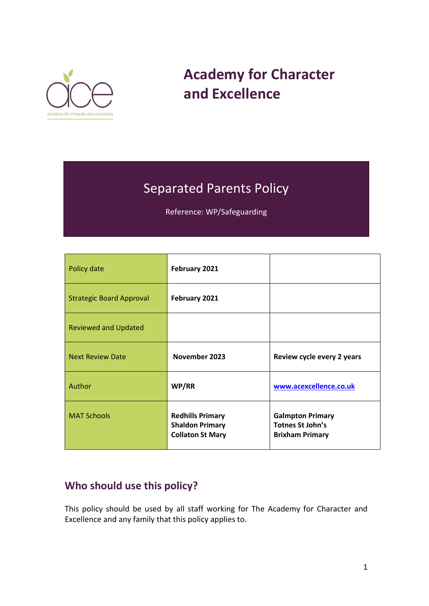

# **Academy for Character and Excellence**

## Separated Parents Policy

Reference: WP/Safeguarding

| Policy date                     | February 2021                                                                |                                                                              |
|---------------------------------|------------------------------------------------------------------------------|------------------------------------------------------------------------------|
| <b>Strategic Board Approval</b> | February 2021                                                                |                                                                              |
| <b>Reviewed and Updated</b>     |                                                                              |                                                                              |
| <b>Next Review Date</b>         | November 2023                                                                | Review cycle every 2 years                                                   |
| Author                          | WP/RR                                                                        | www.acexcellence.co.uk                                                       |
| <b>MAT Schools</b>              | <b>Redhills Primary</b><br><b>Shaldon Primary</b><br><b>Collaton St Mary</b> | <b>Galmpton Primary</b><br><b>Totnes St John's</b><br><b>Brixham Primary</b> |

## **Who should use this policy?**

This policy should be used by all staff working for The Academy for Character and Excellence and any family that this policy applies to.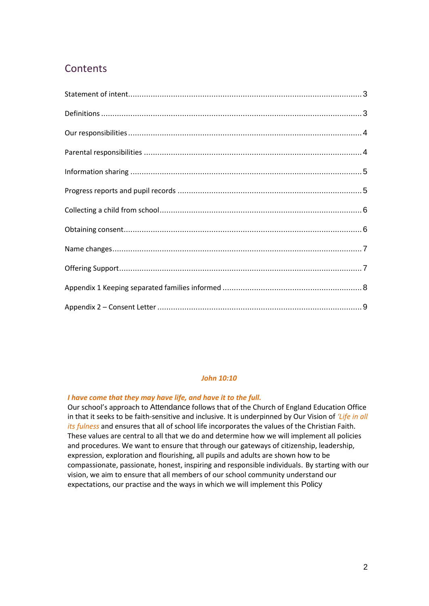### **Contents**

#### *John 10:10*

#### *I have come that they may have life, and have it to the full.*

Our school's approach to Attendance follows that of the Church of England Education Office in that it seeks to be faith-sensitive and inclusive. It is underpinned by Our Vision of *'Life in all its fulness* and ensures that all of school life incorporates the values of the Christian Faith. These values are central to all that we do and determine how we will implement all policies and procedures. We want to ensure that through our gateways of citizenship, leadership, expression, exploration and flourishing, all pupils and adults are shown how to be compassionate, passionate, honest, inspiring and responsible individuals. By starting with our vision, we aim to ensure that all members of our school community understand our expectations, our practise and the ways in which we will implement this Policy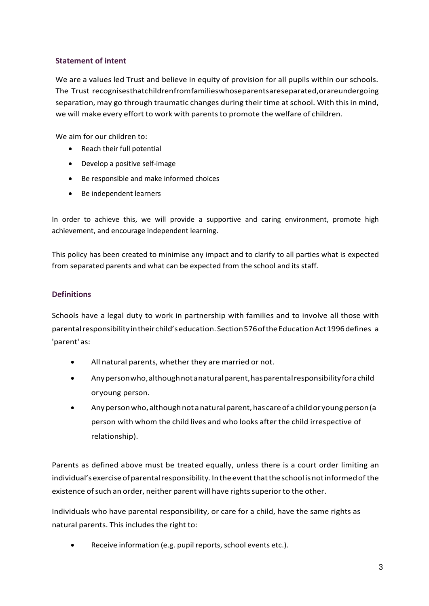#### <span id="page-2-0"></span>**Statement of intent**

We are a values led Trust and believe in equity of provision for all pupils within our schools. The Trust recognisesthatchildrenfromfamilieswhoseparentsareseparated,orareundergoing separation, may go through traumatic changes during their time at school. With this in mind, we will make every effort to work with parents to promote the welfare of children.

We aim for our children to:

- Reach their full potential
- Develop a positive self-image
- Be responsible and make informed choices
- Be independent learners

In order to achieve this, we will provide a supportive and caring environment, promote high achievement, and encourage independent learning.

This policy has been created to minimise any impact and to clarify to all parties what is expected from separated parents and what can be expected from the school and its staff.

#### <span id="page-2-1"></span>**Definitions**

Schools have a legal duty to work in partnership with families and to involve all those with parentalresponsibilityintheirchild'seducation.Section576oftheEducationAct1996defines a 'parent' as:

- All natural parents, whether they are married or not.
- Anypersonwho,althoughnotanaturalparent,hasparentalresponsibilityforachild oryoung person.
- Anypersonwho,althoughnotanaturalparent,hascareofachildoryoungperson(a person with whom the child lives and who looks after the child irrespective of relationship).

Parents as defined above must be treated equally, unless there is a court order limiting an individual's exercise of parental responsibility. In the event that the school is not informed of the existence of such an order, neither parent will have rights superior to the other.

Individuals who have parental responsibility, or care for a child, have the same rights as natural parents. This includes the right to:

Receive information (e.g. pupil reports, school events etc.).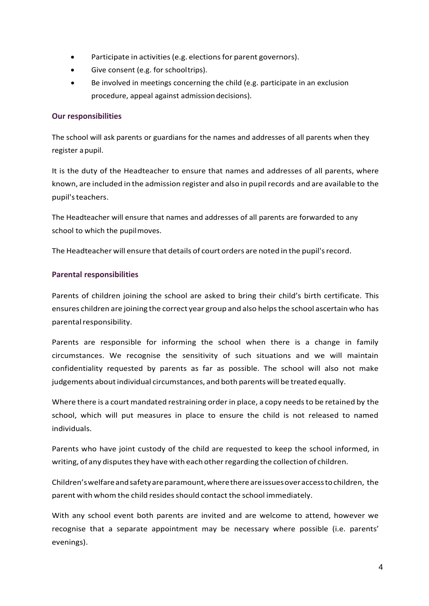- Participate in activities (e.g. elections for parent governors).
- Give consent (e.g. for schooltrips).
- Be involved in meetings concerning the child (e.g. participate in an exclusion procedure, appeal against admissiondecisions).

#### <span id="page-3-0"></span>**Our responsibilities**

The school will ask parents or guardians for the names and addresses of all parents when they register apupil.

It is the duty of the Headteacher to ensure that names and addresses of all parents, where known, are included in the admission register and also in pupilrecords and are available to the pupil'steachers.

The Headteacher will ensure that names and addresses of all parents are forwarded to any school to which the pupilmoves.

The Headteacher will ensure that details of court orders are noted in the pupil'srecord.

#### <span id="page-3-1"></span>**Parental responsibilities**

Parents of children joining the school are asked to bring their child's birth certificate. This ensures children are joining the correct year group and also helpsthe school ascertain who has parental responsibility.

Parents are responsible for informing the school when there is a change in family circumstances. We recognise the sensitivity of such situations and we will maintain confidentiality requested by parents as far as possible. The school will also not make judgements about individual circumstances, and both parents will be treated equally.

Where there is a court mandated restraining order in place, a copy needsto be retained by the school, which will put measures in place to ensure the child is not released to named individuals.

Parents who have joint custody of the child are requested to keep the school informed, in writing, of any disputes they have with each other regarding the collection of children.

Children'swelfareandsafetyareparamount,wherethereareissuesoveraccesstochildren, the parent with whom the child resides should contact the school immediately.

With any school event both parents are invited and are welcome to attend, however we recognise that a separate appointment may be necessary where possible (i.e. parents' evenings).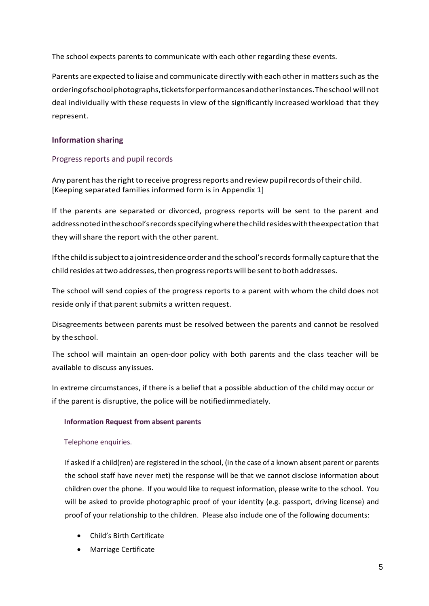The school expects parents to communicate with each other regarding these events.

Parents are expected to liaise and communicate directly with each other in matters such as the orderingofschoolphotographs,ticketsforperformancesandotherinstances.Theschool will not deal individually with these requests in view of the significantly increased workload that they represent.

#### <span id="page-4-0"></span>**Information sharing**

#### <span id="page-4-1"></span>Progress reports and pupil records

Any parent has the right to receive progress reports and review pupil records of their child. [Keeping separated families informed form is in Appendix 1]

If the parents are separated or divorced, progress reports will be sent to the parent and addressnotedintheschool'srecordsspecifyingwherethechildresideswiththeexpectation that they will share the report with the other parent.

Ifthe childissubjecttoa jointresidenceorderandthe school'srecordsformally capture that the child resides at two addresses, then progress reports will be sent to both addresses.

The school will send copies of the progress reports to a parent with whom the child does not reside only if that parent submits a written request.

Disagreements between parents must be resolved between the parents and cannot be resolved by the school.

The school will maintain an open-door policy with both parents and the class teacher will be available to discuss anyissues.

In extreme circumstances, if there is a belief that a possible abduction of the child may occur or if the parent is disruptive, the police will be notifiedimmediately.

#### **Information Request from absent parents**

#### Telephone enquiries.

If asked if a child(ren) are registered in the school, (in the case of a known absent parent or parents the school staff have never met) the response will be that we cannot disclose information about children over the phone. If you would like to request information, please write to the school. You will be asked to provide photographic proof of your identity (e.g. passport, driving license) and proof of your relationship to the children. Please also include one of the following documents:

- Child's Birth Certificate
- Marriage Certificate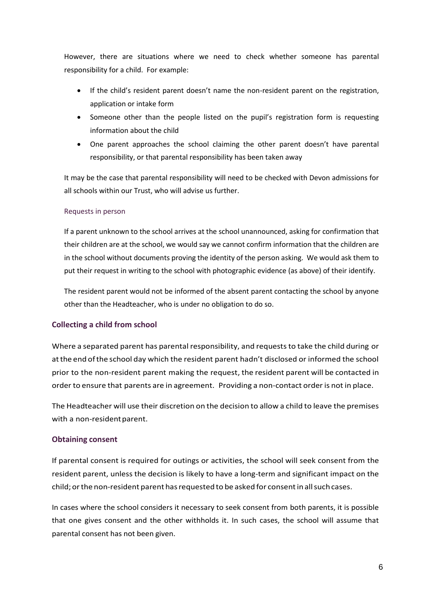However, there are situations where we need to check whether someone has parental responsibility for a child. For example:

- If the child's resident parent doesn't name the non-resident parent on the registration, application or intake form
- Someone other than the people listed on the pupil's registration form is requesting information about the child
- One parent approaches the school claiming the other parent doesn't have parental responsibility, or that parental responsibility has been taken away

It may be the case that parental responsibility will need to be checked with Devon admissions for all schools within our Trust, who will advise us further.

#### Requests in person

If a parent unknown to the school arrives at the school unannounced, asking for confirmation that their children are at the school, we would say we cannot confirm information that the children are in the school without documents proving the identity of the person asking. We would ask them to put their request in writing to the school with photographic evidence (as above) of their identify.

The resident parent would not be informed of the absent parent contacting the school by anyone other than the Headteacher, who is under no obligation to do so.

#### <span id="page-5-0"></span>**Collecting a child from school**

Where a separated parent has parental responsibility, and requeststo take the child during or atthe end ofthe school day which the resident parent hadn't disclosed or informed the school prior to the non-resident parent making the request, the resident parent will be contacted in order to ensure that parents are in agreement. Providing a non-contact order is not in place.

The Headteacher will use their discretion on the decision to allow a child to leave the premises with a non-resident parent.

#### <span id="page-5-1"></span>**Obtaining consent**

If parental consent is required for outings or activities, the school will seek consent from the resident parent, unless the decision is likely to have a long-term and significant impact on the child; orthe non-resident parent hasrequested to be asked for consentinallsuchcases.

In cases where the school considers it necessary to seek consent from both parents, it is possible that one gives consent and the other withholds it. In such cases, the school will assume that parental consent has not been given.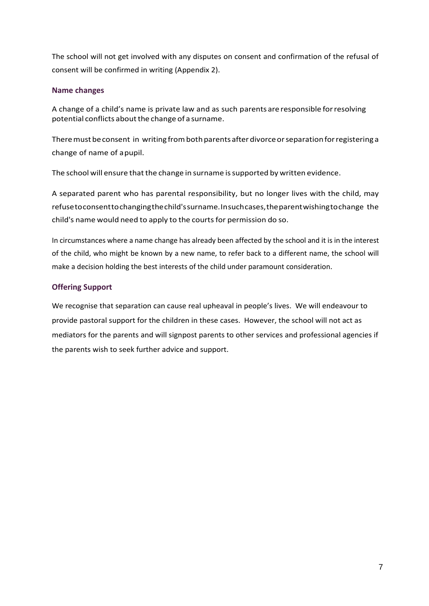The school will not get involved with any disputes on consent and confirmation of the refusal of consent will be confirmed in writing (Appendix 2).

#### <span id="page-6-0"></span>**Name changes**

A change of a child's name is private law and as such parents are responsible forresolving potential conflicts about the change of a surname.

There must be consent in writing from both parents after divorce or separation for registering a change of name of apupil.

The school will ensure that the change in surname is supported by written evidence.

A separated parent who has parental responsibility, but no longer lives with the child, may refusetoconsenttochangingthechild'ssurname.Insuchcases,theparentwishingtochange the child's name would need to apply to the courtsfor permission do so.

In circumstances where a name change has already been affected by the school and it is in the interest of the child, who might be known by a new name, to refer back to a different name, the school will make a decision holding the best interests of the child under paramount consideration.

#### <span id="page-6-1"></span>**Offering Support**

We recognise that separation can cause real upheaval in people's lives. We will endeavour to provide pastoral support for the children in these cases. However, the school will not act as mediators for the parents and will signpost parents to other services and professional agencies if the parents wish to seek further advice and support.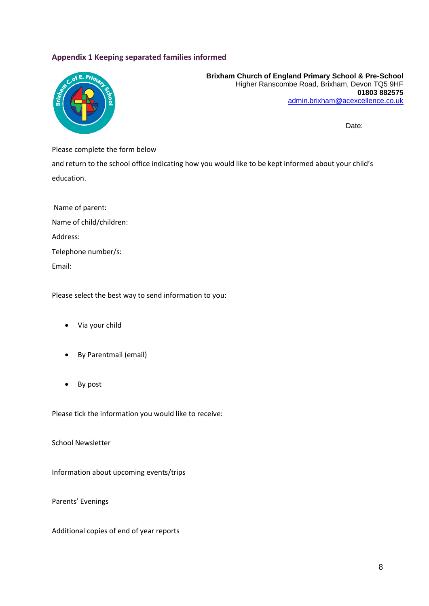#### <span id="page-7-0"></span>**Appendix 1 Keeping separated families informed**



**Brixham Church of England Primary School & Pre-School**  Higher Ranscombe Road, Brixham, Devon TQ5 9HF **01803 882575** [admin.brixham@acexcellence.co.uk](mailto:admin.brixham@acexcellence.co.uk)

Date:

Please complete the form below

and return to the school office indicating how you would like to be kept informed about your child's education.

Name of parent: Name of child/children: Address: Telephone number/s: Email:

Please select the best way to send information to you:

- Via your child
- By Parentmail (email)
- By post

Please tick the information you would like to receive:

School Newsletter

Information about upcoming events/trips

Parents' Evenings

Additional copies of end of year reports